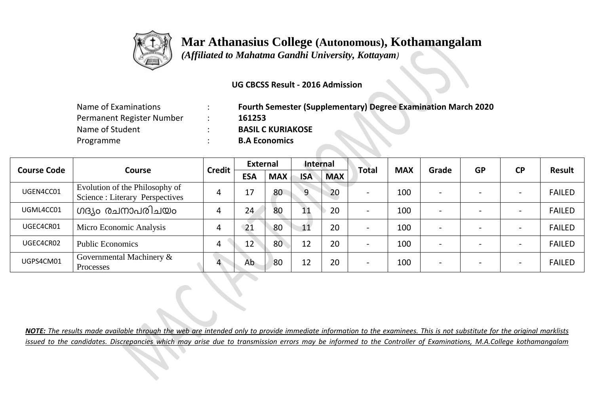

## **Mar Athanasius College (Autonomous), Kothamangalam**

 *(Affiliated to Mahatma Gandhi University, Kottayam)*

## **UG CBCSS Result - 2016 Admission**

| Name of Examinations      | <b>Fourth Semester (Supplementary) Degree Examination March 2020</b> |
|---------------------------|----------------------------------------------------------------------|
| Permanent Register Number | 161253                                                               |
| Name of Student           | <b>BASIL C KURIAKOSE</b>                                             |
| Programme                 | <b>B.A Economics</b>                                                 |

|                    |                                                                  | <b>Credit</b> | <b>External</b> |            | Internal       |            | Total                    | <b>MAX</b> | Grade | <b>GP</b> | <b>CP</b>                | Result        |
|--------------------|------------------------------------------------------------------|---------------|-----------------|------------|----------------|------------|--------------------------|------------|-------|-----------|--------------------------|---------------|
| <b>Course Code</b> | <b>Course</b>                                                    |               | <b>ESA</b>      | <b>MAX</b> | <b>ISA</b>     | <b>MAX</b> |                          |            |       |           |                          |               |
| UGEN4CC01          | Evolution of the Philosophy of<br>Science: Literary Perspectives | 4             | 17              | 80         | $\overline{9}$ | 20         | $\overline{\phantom{a}}$ | 100        |       |           | $\overline{\phantom{0}}$ | <b>FAILED</b> |
| UGML4CC01          | ഗദ്യം രചനാപരിചയം                                                 |               | 24              | 80         | 11             | 20         | $\overline{\phantom{a}}$ | 100        |       |           | $\overline{\phantom{0}}$ | <b>FAILED</b> |
| UGEC4CR01          | Micro Economic Analysis                                          |               | 21              | 80         | 11             | 20         | $\overline{\phantom{a}}$ | 100        |       |           |                          | <b>FAILED</b> |
| UGEC4CR02          | <b>Public Economics</b>                                          | 4             | 12              | 80         | 12             | 20         | $\overline{\phantom{0}}$ | 100        |       |           |                          | <b>FAILED</b> |
| UGPS4CM01          | Governmental Machinery $\&$<br>Processes                         | 4             | Ab              | 80         | 12             | 20         | $\overline{\phantom{a}}$ | 100        |       |           |                          | <b>FAILED</b> |

*NOTE: The results made available through the web are intended only to provide immediate information to the examinees. This is not substitute for the original marklists issued to the candidates. Discrepancies which may arise due to transmission errors may be informed to the Controller of Examinations, M.A.College kothamangalam*